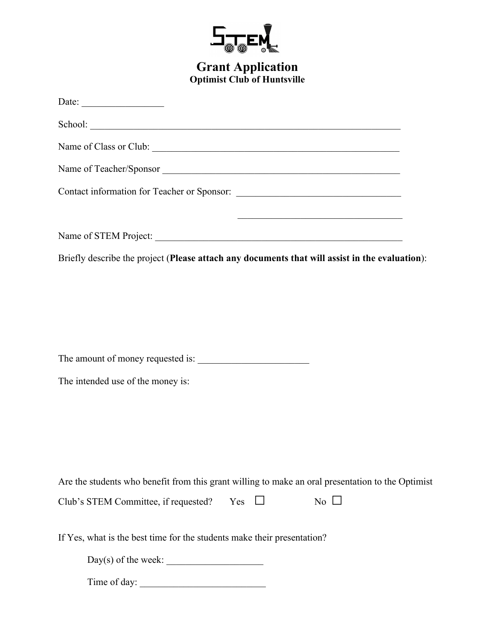

## **Grant Application Optimist Club of Huntsville**

| Date: $\qquad \qquad$                                                                                                                                                                                                          |
|--------------------------------------------------------------------------------------------------------------------------------------------------------------------------------------------------------------------------------|
| School: National Commercial Commercial Commercial Commercial Commercial Commercial Commercial Commercial Commercial Commercial Commercial Commercial Commercial Commercial Commercial Commercial Commercial Commercial Commerc |
|                                                                                                                                                                                                                                |
| Name of Teacher/Sponsor                                                                                                                                                                                                        |
|                                                                                                                                                                                                                                |
| <u> 1980 - Johann John Stein, market fransk politiker (d. 1980)</u><br>Name of STEM Project:                                                                                                                                   |
| Briefly describe the project (Please attach any documents that will assist in the evaluation):                                                                                                                                 |
|                                                                                                                                                                                                                                |
|                                                                                                                                                                                                                                |
|                                                                                                                                                                                                                                |
|                                                                                                                                                                                                                                |
| The intended use of the money is:                                                                                                                                                                                              |
|                                                                                                                                                                                                                                |
|                                                                                                                                                                                                                                |
|                                                                                                                                                                                                                                |
| Are the students who benefit from this grant willing to make an oral presentation to the Optimist                                                                                                                              |
| No $\Box$<br>Club's STEM Committee, if requested?<br>$Yes \Box$                                                                                                                                                                |
| If Yes, what is the best time for the students make their presentation?                                                                                                                                                        |
|                                                                                                                                                                                                                                |
|                                                                                                                                                                                                                                |